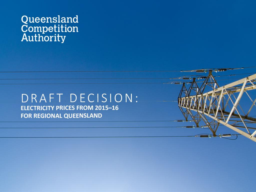# Queensland<br>Competition<br>Authority

#### DRAFT DECISION: **ELECTRICITY PRICES FROM 2015-16 FOR REGIONAL QUEENSLAND**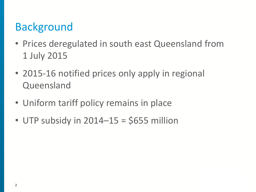# Background

- Prices deregulated in south east Queensland from 1 July 2015
- 2015-16 notified prices only apply in regional Queensland
- Uniform tariff policy remains in place
- UTP subsidy in  $2014 15 = $655$  million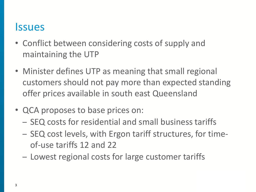#### **Issues**

- Conflict between considering costs of supply and maintaining the UTP
- Minister defines UTP as meaning that small regional customers should not pay more than expected standing offer prices available in south east Queensland
- QCA proposes to base prices on:
	- SEQ costs for residential and small business tariffs
	- SEQ cost levels, with Ergon tariff structures, for timeof-use tariffs 12 and 22
	- Lowest regional costs for large customer tariffs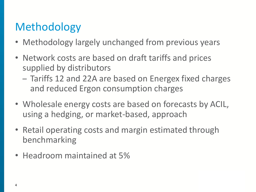# Methodology

- Methodology largely unchanged from previous years
- Network costs are based on draft tariffs and prices supplied by distributors
	- Tariffs 12 and 22A are based on Energex fixed charges and reduced Ergon consumption charges
- Wholesale energy costs are based on forecasts by ACIL, using a hedging, or market-based, approach
- Retail operating costs and margin estimated through benchmarking
- Headroom maintained at 5%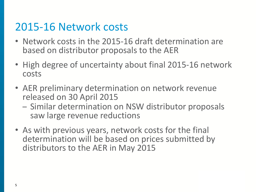### 2015-16 Network costs

- Network costs in the 2015-16 draft determination are based on distributor proposals to the AER
- High degree of uncertainty about final 2015-16 network costs
- AER preliminary determination on network revenue released on 30 April 2015
	- Similar determination on NSW distributor proposals saw large revenue reductions
- As with previous years, network costs for the final determination will be based on prices submitted by distributors to the AER in May 2015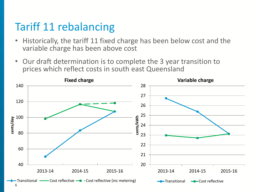# Tariff 11 rebalancing

- Historically, the tariff 11 fixed charge has been below cost and the variable charge has been above cost
- Our draft determination is to complete the 3 year transition to prices which reflect costs in south east Queensland

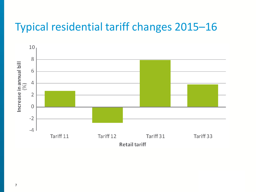## Typical residential tariff changes 2015–16

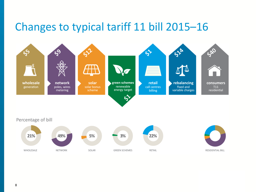### Changes to typical tariff 11 bill 2015–16

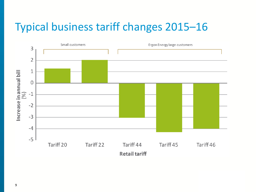# Typical business tariff changes 2015–16

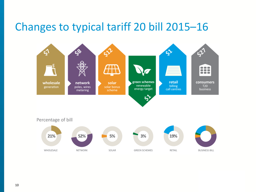#### Changes to typical tariff 20 bill 2015–16



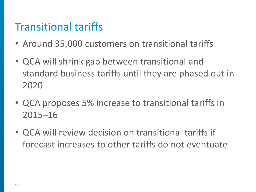# Transitional tariffs

- Around 35,000 customers on transitional tariffs
- QCA will shrink gap between transitional and standard business tariffs until they are phased out in 2020
- QCA proposes 5% increase to transitional tariffs in 2015–16
- QCA will review decision on transitional tariffs if forecast increases to other tariffs do not eventuate